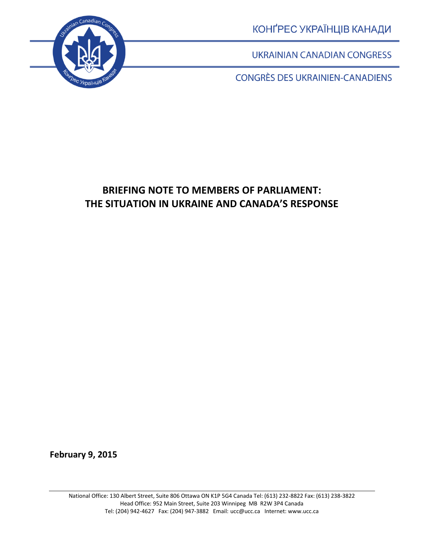

КОНҐРЕС УКРАЇНЦІВ КАНАДИ

**UKRAINIAN CANADIAN CONGRESS** 

**CONGRÈS DES UKRAINIEN-CANADIENS** 

# **BRIEFING NOTE TO MEMBERS OF PARLIAMENT: THE SITUATION IN UKRAINE AND CANADA'S RESPONSE**

**February 9, 2015**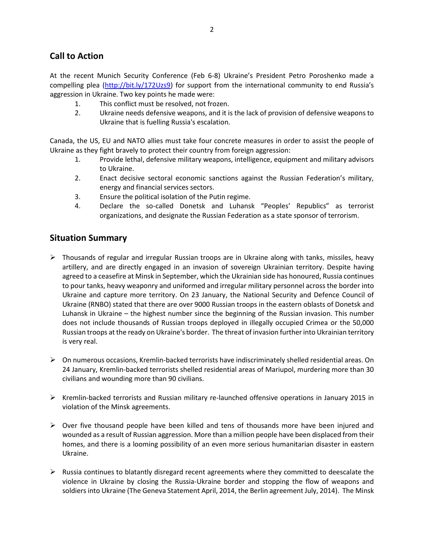## **Call to Action**

At the recent Munich Security Conference (Feb 6-8) Ukraine's President Petro Poroshenko made a compelling plea [\(http://bit.ly/172Uzs9](http://bit.ly/172Uzs9)) for support from the international community to end Russia's aggression in Ukraine. Two key points he made were:

- 1. This conflict must be resolved, not frozen.
- 2. Ukraine needs defensive weapons, and it is the lack of provision of defensive weapons to Ukraine that is fuelling Russia's escalation.

Canada, the US, EU and NATO allies must take four concrete measures in order to assist the people of Ukraine as they fight bravely to protect their country from foreign aggression:

- 1. Provide lethal, defensive military weapons, intelligence, equipment and military advisors to Ukraine.
- 2. Enact decisive sectoral economic sanctions against the Russian Federation's military, energy and financial services sectors.
- 3. Ensure the political isolation of the Putin regime.
- 4. Declare the so-called Donetsk and Luhansk "Peoples' Republics" as terrorist organizations, and designate the Russian Federation as a state sponsor of terrorism.

### **Situation Summary**

- $\triangleright$  Thousands of regular and irregular Russian troops are in Ukraine along with tanks, missiles, heavy artillery, and are directly engaged in an invasion of sovereign Ukrainian territory. Despite having agreed to a ceasefire at Minsk in September, which the Ukrainian side has honoured, Russia continues to pour tanks, heavy weaponry and uniformed and irregular military personnel across the border into Ukraine and capture more territory. On 23 January, the National Security and Defence Council of Ukraine (RNBO) stated that there are over 9000 Russian troops in the eastern oblasts of Donetsk and Luhansk in Ukraine – the highest number since the beginning of the Russian invasion. This number does not include thousands of Russian troops deployed in illegally occupied Crimea or the 50,000 Russian troops at the ready on Ukraine's border. The threat of invasion further into Ukrainian territory is very real.
- $\triangleright$  On numerous occasions, Kremlin-backed terrorists have indiscriminately shelled residential areas. On 24 January, Kremlin-backed terrorists shelled residential areas of Mariupol, murdering more than 30 civilians and wounding more than 90 civilians.
- $\triangleright$  Kremlin-backed terrorists and Russian military re-launched offensive operations in January 2015 in violation of the Minsk agreements.
- $\triangleright$  Over five thousand people have been killed and tens of thousands more have been injured and wounded as a result of Russian aggression. More than a million people have been displaced from their homes, and there is a looming possibility of an even more serious humanitarian disaster in eastern Ukraine.
- $\triangleright$  Russia continues to blatantly disregard recent agreements where they committed to deescalate the violence in Ukraine by closing the Russia-Ukraine border and stopping the flow of weapons and soldiers into Ukraine (The Geneva Statement April, 2014, the Berlin agreement July, 2014). The Minsk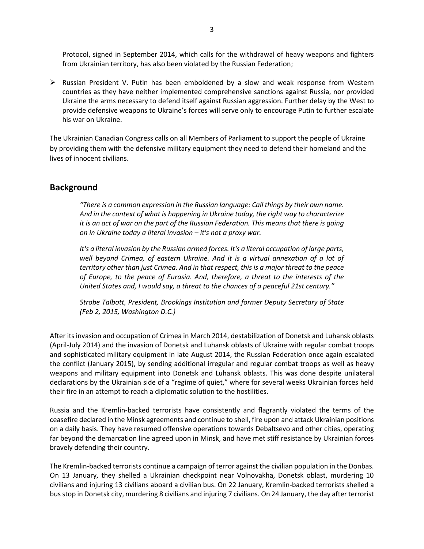Protocol, signed in September 2014, which calls for the withdrawal of heavy weapons and fighters from Ukrainian territory, has also been violated by the Russian Federation;

 $\triangleright$  Russian President V. Putin has been emboldened by a slow and weak response from Western countries as they have neither implemented comprehensive sanctions against Russia, nor provided Ukraine the arms necessary to defend itself against Russian aggression. Further delay by the West to provide defensive weapons to Ukraine's forces will serve only to encourage Putin to further escalate his war on Ukraine.

The Ukrainian Canadian Congress calls on all Members of Parliament to support the people of Ukraine by providing them with the defensive military equipment they need to defend their homeland and the lives of innocent civilians.

#### **Background**

*"There is a common expression in the Russian language: Call things by their own name. And in the context of what is happening in Ukraine today, the right way to characterize it is an act of war on the part of the Russian Federation. This means that there is going on in Ukraine today a literal invasion – it's not a proxy war.*

*It's a literal invasion by the Russian armed forces. It's a literal occupation of large parts, well beyond Crimea, of eastern Ukraine. And it is a virtual annexation of a lot of territory other than just Crimea. And in that respect, this is a major threat to the peace of Europe, to the peace of Eurasia. And, therefore, a threat to the interests of the United States and, I would say, a threat to the chances of a peaceful 21st century."*

*Strobe Talbott, President, Brookings Institution and former Deputy Secretary of State (Feb 2, 2015, Washington D.C.)*

After itsinvasion and occupation of Crimea in March 2014, destabilization of Donetsk and Luhansk oblasts (April-July 2014) and the invasion of Donetsk and Luhansk oblasts of Ukraine with regular combat troops and sophisticated military equipment in late August 2014, the Russian Federation once again escalated the conflict (January 2015), by sending additional irregular and regular combat troops as well as heavy weapons and military equipment into Donetsk and Luhansk oblasts. This was done despite unilateral declarations by the Ukrainian side of a "regime of quiet," where for several weeks Ukrainian forces held their fire in an attempt to reach a diplomatic solution to the hostilities.

Russia and the Kremlin-backed terrorists have consistently and flagrantly violated the terms of the ceasefire declared in the Minsk agreements and continue to shell, fire upon and attack Ukrainian positions on a daily basis. They have resumed offensive operations towards Debaltsevo and other cities, operating far beyond the demarcation line agreed upon in Minsk, and have met stiff resistance by Ukrainian forces bravely defending their country.

The Kremlin-backed terrorists continue a campaign of terror against the civilian population in the Donbas. On 13 January, they shelled a Ukrainian checkpoint near Volnovakha, Donetsk oblast, murdering 10 civilians and injuring 13 civilians aboard a civilian bus. On 22 January, Kremlin-backed terrorists shelled a bus stop in Donetsk city, murdering 8 civilians and injuring 7 civilians. On 24 January, the day after terrorist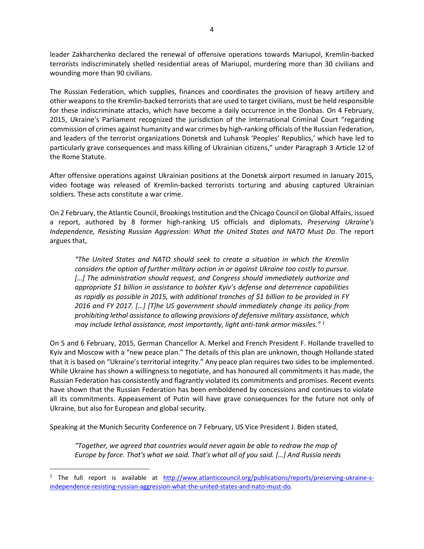leader Zakharchenko declared the renewal of offensive operations towards Mariupol, Kremlin-backed terrorists indiscriminately shelled residential areas of Mariupol, murdering more than 30 civilians and wounding more than 90 civilians.

The Russian Federation, which supplies, finances and coordinates the provision of heavy artillery and other weapons to the Kremlin-backed terrorists that are used to target civilians, must be held responsible for these indiscriminate attacks, which have become a daily occurrence in the Donbas. On 4 February, 2015, Ukraine's Parliament recognized the jurisdiction of the International Criminal Court "regarding commission of crimes against humanity and war crimes by high-ranking officials of the Russian Federation, and leaders of the terrorist organizations Donetsk and Luhansk 'Peoples' Republics,' which have led to particularly grave consequences and mass killing of Ukrainian citizens," under Paragraph 3 Article 12 of the Rome Statute.

After offensive operations against Ukrainian positions at the Donetsk airport resumed in January 2015, video footage was released of Kremlin-backed terrorists torturing and abusing captured Ukrainian soldiers. These acts constitute a war crime.

On 2 February, the Atlantic Council, Brookings Institution and the Chicago Council on Global Affairs, issued a report, authored by 8 former high-ranking US officials and diplomats, *Preserving Ukraine's Independence, Resisting Russian Aggression: What the United States and NATO Must Do*. The report argues that,

*"The United States and NATO should seek to create a situation in which the Kremlin considers the option of further military action in or against Ukraine too costly to pursue.*  [...] The administration should request, and Congress should immediately authorize and *appropriate \$1 billion in assistance to bolster Kyiv's defense and deterrence capabilities as rapidly as possible in 2015, with additional tranches of \$1 billion to be provided in FY 2016 and FY 2017. […] [T]he US government should immediately change its policy from prohibiting lethal assistance to allowing provisions of defensive military assistance, which may include lethal assistance, most importantly, light anti-tank armor missiles." <sup>1</sup>*

On 5 and 6 February, 2015, German Chancellor A. Merkel and French President F. Hollande travelled to Kyiv and Moscow with a "new peace plan." The details of this plan are unknown, though Hollande stated that it is based on "Ukraine's territorial integrity." Any peace plan requires two sides to be implemented. While Ukraine has shown a willingness to negotiate, and has honoured all commitments it has made, the Russian Federation has consistently and flagrantly violated its commitments and promises. Recent events have shown that the Russian Federation has been emboldened by concessions and continues to violate all its commitments. Appeasement of Putin will have grave consequences for the future not only of Ukraine, but also for European and global security.

Speaking at the Munich Security Conference on 7 February, US Vice President J. Biden stated,

 $\overline{\phantom{a}}$ 

*"Together, we agreed that countries would never again be able to redraw the map of Europe by force. That's what we said. That's what all of you said. […] And Russia needs* 

<sup>&</sup>lt;sup>1</sup> The full report is available at [http://www.atlanticcouncil.org/publications/reports/preserving-ukraine-s](http://www.atlanticcouncil.org/publications/reports/preserving-ukraine-s-independence-resisting-russian-aggression-what-the-united-states-and-nato-must-do)[independence-resisting-russian-aggression-what-the-united-states-and-nato-must-do.](http://www.atlanticcouncil.org/publications/reports/preserving-ukraine-s-independence-resisting-russian-aggression-what-the-united-states-and-nato-must-do)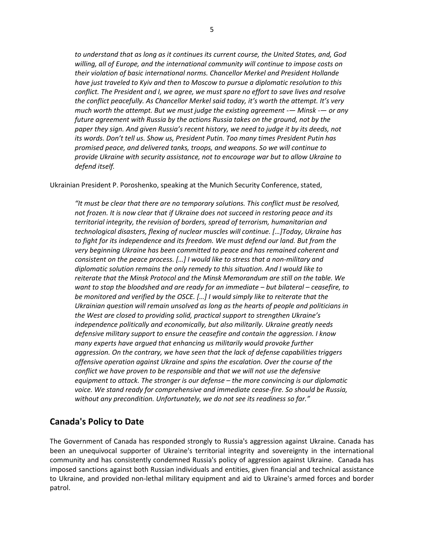*to understand that as long as it continues its current course, the United States, and, God willing, all of Europe, and the international community will continue to impose costs on their violation of basic international norms. Chancellor Merkel and President Hollande have just traveled to Kyiv and then to Moscow to pursue a diplomatic resolution to this conflict. The President and I, we agree, we must spare no effort to save lives and resolve the conflict peacefully. As Chancellor Merkel said today, it's worth the attempt. It's very much worth the attempt. But we must judge the existing agreement -— Minsk -— or any future agreement with Russia by the actions Russia takes on the ground, not by the paper they sign. And given Russia's recent history, we need to judge it by its deeds, not its words. Don't tell us. Show us, President Putin. Too many times President Putin has promised peace, and delivered tanks, troops, and weapons. So we will continue to provide Ukraine with security assistance, not to encourage war but to allow Ukraine to defend itself.*

Ukrainian President P. Poroshenko, speaking at the Munich Security Conference, stated,

*"It must be clear that there are no temporary solutions. This conflict must be resolved, not frozen. It is now clear that if Ukraine does not succeed in restoring peace and its territorial integrity, the revision of borders, spread of terrorism, humanitarian and technological disasters, flexing of nuclear muscles will continue. […]Today, Ukraine has to fight for its independence and its freedom. We must defend our land. But from the very beginning Ukraine has been committed to peace and has remained coherent and consistent on the peace process. […] I would like to stress that a non-military and diplomatic solution remains the only remedy to this situation. And I would like to reiterate that the Minsk Protocol and the Minsk Memorandum are still on the table. We want to stop the bloodshed and are ready for an immediate – but bilateral – ceasefire, to be monitored and verified by the OSCE. […] I would simply like to reiterate that the Ukrainian question will remain unsolved as long as the hearts of people and politicians in the West are closed to providing solid, practical support to strengthen Ukraine's independence politically and economically, but also militarily. Ukraine greatly needs defensive military support to ensure the ceasefire and contain the aggression. I know many experts have argued that enhancing us militarily would provoke further aggression. On the contrary, we have seen that the lack of defense capabilities triggers offensive operation against Ukraine and spins the escalation. Over the course of the conflict we have proven to be responsible and that we will not use the defensive equipment to attack. The stronger is our defense – the more convincing is our diplomatic voice. We stand ready for comprehensive and immediate cease-fire. So should be Russia, without any precondition. Unfortunately, we do not see its readiness so far."*

#### **Canada's Policy to Date**

The Government of Canada has responded strongly to Russia's aggression against Ukraine. Canada has been an unequivocal supporter of Ukraine's territorial integrity and sovereignty in the international community and has consistently condemned Russia's policy of aggression against Ukraine. Canada has imposed sanctions against both Russian individuals and entities, given financial and technical assistance to Ukraine, and provided non-lethal military equipment and aid to Ukraine's armed forces and border patrol.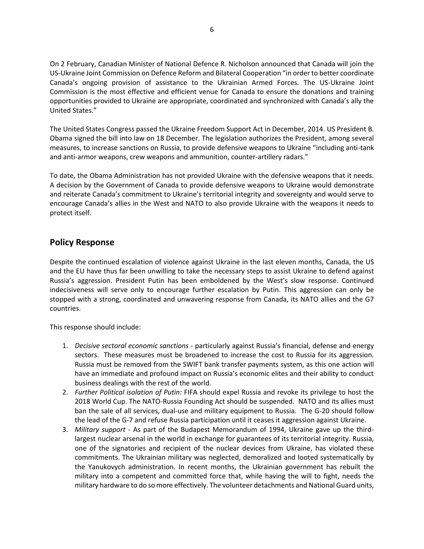On 2 February, Canadian Minister of National Defence R. Nicholson announced that Canada will join the US-Ukraine Joint Commission on Defence Reform and Bilateral Cooperation "in order to better coordinate Canada's ongoing provision of assistance to the Ukrainian Armed Forces. The US-Ukraine Joint Commission is the most effective and efficient venue for Canada to ensure the donations and training opportunities provided to Ukraine are appropriate, coordinated and synchronized with Canada's ally the United States."

The United States Congress passed the Ukraine Freedom Support Act in December, 2014. US President B. Obama signed the bill into law on 18 December. The legislation authorizes the President, among several measures, to increase sanctions on Russia, to provide defensive weapons to Ukraine "including anti-tank and anti-armor weapons, crew weapons and ammunition, counter-artillery radars."

To date, the Obama Administration has not provided Ukraine with the defensive weapons that it needs. A decision by the Government of Canada to provide defensive weapons to Ukraine would demonstrate and reiterate Canada's commitment to Ukraine's territorial integrity and sovereignty and would serve to encourage Canada's allies in the West and NATO to also provide Ukraine with the weapons it needs to protect itself.

#### **Policy Response**

Despite the continued escalation of violence against Ukraine in the last eleven months, Canada, the US and the EU have thus far been unwilling to take the necessary steps to assist Ukraine to defend against Russia's aggression. President Putin has been emboldened by the West's slow response. Continued indecisiveness will serve only to encourage further escalation by Putin. This aggression can only be stopped with a strong, coordinated and unwavering response from Canada, its NATO allies and the G7 countries.

This response should include:

- 1. *Decisive sectoral economic sanctions* particularly against Russia's financial, defense and energy sectors. These measures must be broadened to increase the cost to Russia for its aggression. Russia must be removed from the SWIFT bank transfer payments system, as this one action will have an immediate and profound impact on Russia's economic elites and their ability to conduct business dealings with the rest of the world.
- 2. *Further Political isolation of Putin:* FIFA should expel Russia and revoke its privilege to host the 2018 World Cup. The NATO-Russia Founding Act should be suspended. NATO and its allies must ban the sale of all services, dual-use and military equipment to Russia. The G-20 should follow the lead of the G-7 and refuse Russia participation until it ceases it aggression against Ukraine.
- 3. *Military support* As part of the Budapest Memorandum of 1994, Ukraine gave up the thirdlargest nuclear arsenal in the world in exchange for guarantees of its territorial integrity. Russia, one of the signatories and recipient of the nuclear devices from Ukraine, has violated these commitments. The Ukrainian military was neglected, demoralized and looted systematically by the Yanukovych administration. In recent months, the Ukrainian government has rebuilt the military into a competent and committed force that, while having the will to fight, needs the military hardware to do so more effectively. The volunteer detachments and National Guard units,